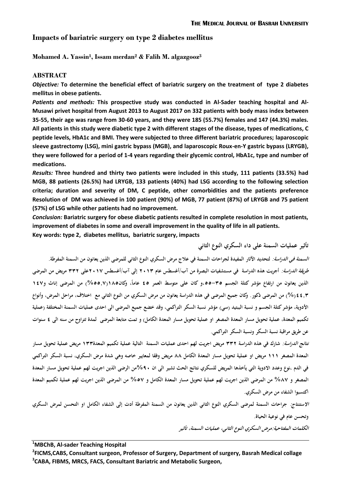# **Impacts of bariatric surgery on type 2 diabetes mellitus**

**Mohamed A. Yassin<sup>1</sup> , Issam merdan<sup>2</sup> & Falih M. algazgooz<sup>3</sup>**

# **ABSTRACT**

*Objective:* **To determine the beneficial effect of bariatric surgery on the treatment of type 2 diabetes mellitus in obese patients.**

*Patients and methods:* **This prospective study was conducted in Al-Sader teaching hospital and Al-Musawi privet hospital from August 2013 to August 2017 on 332 patients with body mass index between 35-55, their age was range from 30-60 years, and they were 185 (55.7%) females and 147 (44.3%) males. All patients in this study were diabetic type 2 with different stages of the disease, types of medications, C peptide levels, HbA1c and BMI. They were subjected to three different bariatric procedures; laparoscopic sleeve gastrectomy (LSG), mini gastric bypass (MGB), and laparoscopic Roux-en-Y gastric bypass (LRYGB), they were followed for a period of 1-4 years regarding their glycemic control, HbA1c, type and number of medications.**

*Results:* **Three hundred and thirty two patients were included in this study, 111 patients (33.5%) had MGB, 88 patients (26.5%) had LRYGB, 133 patients (40%) had LSG according to the following selection criteria; duration and severity of DM, C peptide, other comorbidities and the patients preference Resolution of DM was achieved in 100 patient (90%) of MGB, 77 patient (87%) of LRYGB and 75 patient (57%) of LSG while other patients had no improvement.** 

*Conclusion:* **Bariatric surgery for obese diabetic patients resulted in complete resolution in most patients, improvement of diabetes in some and overall improvement in the quality of life in all patients.** 

**Key words: type 2, diabetes mellitus, bariatric surgery, impacts**

**السمنة في الدراسة: لتحديد اآلثار المفيدة لجراحات السمنة في عالج مرض السكري النوع الثاني للمرضى الذين يعانون من السمنة المفرطة. طريقة الدراسة: أجريت ىذه الدراسة في مستشفيات البصرة من آب/أغسطس عام 3102 إلى آب/أغسطس 3102على 223 مريض من المرضى الذي**ن يعانون من ا<sub>ل</sub>تفاع مؤشر كتلة الجسم ٣٥–٥٥،و كان على متوسط العمر ٤٥ عاماً، وكان٨١(٧,٥٥%) من المرضى إناث و١٤٧ **5552)%( من المرضى ذكور. وكان جميع المرضى في ىذه الدراسة يعانون من مرض السكري من النوع الثاني مع اختالف، مراحل المرض، وأنواع األدوية، مؤشر كتلة الجسم و نسبة الببتيد )سي( مؤشر نسبة السكر التراكمي، وقد خضع جميع المرضى الى احدى عمليات السمنة المختلفة )عملية تكميم المعدة، عملية تحويل مسار المعدة المصغر او عملية تحويل مسار المعدة الكامل( و تمت متابعة المرضى لمدة تتراوح من سنو الى 5 سنوات عن طريق مراقبة نسبة السكر ونسبة السكر التراكمي.**

**نتائج الدراسة: شارك في ىذه الدراسة 223 مريض اجريت لهم احدى عمليات السمنة التالية عملية تكميم المعدة022 مريض عملية تحويل مسار المعدة المصغر 000 مريض او عملية تحويل مسار المعدة الكامل 88 مريض وفقا لمعايير خاصو وىي شدة مرض السكري، نسبة السكر التراكمي في الدم ،نوع وعدد االدوية التي يأخذىا المريض للسكري نتائج الحث تشير الى ان %01من الرضى الذين اجريت لهم عملية تحويل مسار المعدة المصغر و %82 من المرضى الذين اجريت لهم عملية تحويل مسار المعدة الكامل و %32 من المرضى الذين اجريت لهم عملية تكميم المعدة اكتسبوا الشفاء من مرض السكري.**

**االستنتاج: جراحات السمنة لمرضى السكري النوع الثاني الذين يعانون من السمنة المفرطة أدت إلى الشفاء الكامل او التحسن لمرض السكري وتحسن عام في نوعية الحياة.**

**الكلمات المفتاحية:مرض السكري النوع الثاني، عمليات السمنة، تأثير** 

**تأثير عمليات السمنة على داء السكري النوع الثاني**

**<sup>1</sup>MBChB, Al-sader Teaching Hospital**

**2 FICMS,CABS, Consultant surgeon, Professor of Surgery, Department of surgery, Basrah Medical collage 3 CABA, FIBMS, MRCS, FACS, Consultant Bariatric and Metabolic Surgeon,**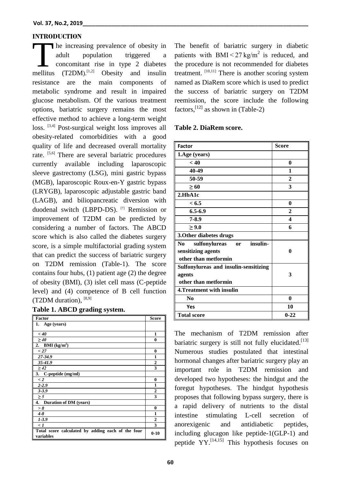#### **INTRODUCTION**

he increasing prevalence of obesity in adult population triggered a concomitant rise in type 2 diabetes The increasing prevalence of obesity in<br>
adult population triggered a<br>
concomitant rise in type 2 diabetes<br>
mellitus (T2DM).<sup>[1,2]</sup> Obesity and insulin resistance are the main components of metabolic syndrome and result in impaired glucose metabolism. Of the various treatment options, bariatric surgery remains the most effective method to achieve a long-term weight loss. <sup>[3,4]</sup> Post-surgical weight loss improves all obesity-related comorbidities with a good quality of life and decreased overall mortality rate. [5,6] There are several bariatric procedures currently available including laparoscopic sleeve gastrectomy (LSG), mini gastric bypass (MGB), laparoscopic Roux-en-Y gastric bypass (LRYGB), laparoscopic adjustable gastric band (LAGB), and biliopancreatic diversion with duodenal switch (LBPD-DS). [7] Remission or improvement of T2DM can be predicted by considering a number of factors. The ABCD score which is also called the diabetes surgery score, is a simple multifactorial grading system that can predict the success of bariatric surgery on T2DM remission (Table-1). The score contains four hubs, (1) patient age (2) the degree of obesity (BMI), (3) islet cell mass (C-peptide level) and (4) competence of B cell function (T2DM duration), [8,9]

|  |  |  | Table 1. ABCD grading system. |  |
|--|--|--|-------------------------------|--|
|--|--|--|-------------------------------|--|

| <b>Factor</b>                                                  | <b>Score</b>     |
|----------------------------------------------------------------|------------------|
| 1. Age (years)                                                 |                  |
|                                                                |                  |
| < 40                                                           | 1                |
| $\geq 40$                                                      | $\bf{0}$         |
| <b>BMI</b> ( $kg/m2$ )<br>2.                                   |                  |
| < 27                                                           | $\bf{0}$         |
| 27-34.9                                                        | $\mathbf{1}$     |
| $35 - 41.9$                                                    | $\boldsymbol{2}$ |
| $\geq 42$                                                      | 3                |
| 3. C-peptide (mg/ml)                                           |                  |
| $\lt 2$                                                        | $\bf{0}$         |
| $2 - 2.9$                                                      | 1                |
| $3 - 3.9$                                                      | $\overline{2}$   |
| $\geq 5$                                                       | 3                |
| 4. Duration of DM (years)                                      |                  |
| > 8                                                            | $\bf{0}$         |
| $4 - 8$                                                        | $\mathbf{1}$     |
| $1 - 3.9$                                                      | $\overline{2}$   |
| $\langle l$                                                    | 3                |
| Total score calculated by adding each of the four<br>variables | $0 - 10$         |

The benefit of bariatric surgery in diabetic patients with  $BMI < 27$  kg/m<sup>2</sup> is reduced, and the procedure is not recommended for diabetes treatment.  $[10,11]$  There is another scoring system named as DiaRem score which is used to predict the success of bariatric surgery on T2DM reemission, the score include the following factors,  $^{[12]}$  as shown in (Table-2)

#### **Table 2. DiaRem score.**

| <b>Factor</b>                                     | <b>Score</b> |
|---------------------------------------------------|--------------|
| 1.Age (years)                                     |              |
| < 40                                              | 0            |
| 40-49                                             | 1            |
| 50-59                                             | $\mathbf{2}$ |
| >60                                               | 3            |
| 2.HbA1c                                           |              |
| < 6.5                                             | 0            |
| $6.5 - 6.9$                                       | $\mathbf{2}$ |
| 7-8.9                                             | 4            |
| > 9.0                                             | 6            |
| 3. Other diabetes drugs                           |              |
| insulin-<br>No.<br>sulfonylureas<br><sub>or</sub> |              |
| sensitizing agents                                | 0            |
| other than metformin                              |              |
| Sulfonylureas and insulin-sensitizing             |              |
| agents                                            | 3            |
| other than metformin                              |              |
| 4. Treatment with insulin                         |              |
| No                                                | $\bf{0}$     |
| Yes                                               | 10           |
| <b>Total score</b>                                | $0 - 22$     |

The mechanism of T2DM remission after bariatric surgery is still not fully elucidated.<sup>[13]</sup> Numerous studies postulated that intestinal hormonal changes after bariatric surgery play an important role in T2DM remission and developed two hypotheses: the hindgut and the foregut hypotheses. The hindgut hypothesis proposes that following bypass surgery, there is a rapid delivery of nutrients to the distal intestine stimulating L-cell secretion of anorexigenic and antidiabetic peptides, including glucagon like peptide-1(GLP-1) and peptide YY.[14,15] This hypothesis focuses on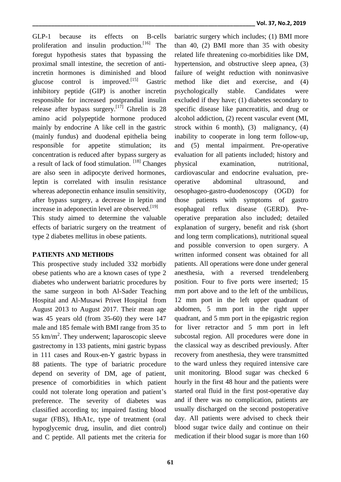GLP-1 because its effects on B-cells proliferation and insulin production.<sup>[16]</sup> The foregut hypothesis states that bypassing the proximal small intestine, the secretion of antiincretin hormones is diminished and blood glucose control is improved.<sup>[15]</sup> Gastric inhibitory peptide (GIP) is another incretin responsible for increased postprandial insulin release after bypass surgery.<sup>[17]</sup> Ghrelin is 28 amino acid polypeptide hormone produced mainly by endocrine A like cell in the gastric (mainly fundus) and duodenal epithelia being responsible for appetite stimulation; its concentration is reduced after bypass surgery as a result of lack of food stimulation. [18] Changes are also seen in adipocyte derived hormones, leptin is correlated with insulin resistance whereas adeponectin enhance insulin sensitivity, after bypass surgery, a decrease in leptin and increase in adeponectin level are observed.<sup>[19]</sup>

This study aimed to determine the valuable effects of bariatric surgery on the treatment of type 2 diabetes mellitus in obese patients.

### **PATIENTS AND METHODS**

This prospective study included 332 morbidly obese patients who are a known cases of type 2 diabetes who underwent bariatric procedures by the same surgeon in both Al-Sader Teaching Hospital and Al-Musawi Privet Hospital from August 2013 to August 2017. Their mean age was 45 years old (from 35-60) they were 147 male and 185 female with BMI range from 35 to 55  $km/m<sup>2</sup>$ . They underwent; laparoscopic sleeve gastrectomy in 133 patients, mini gastric bypass in 111 cases and Roux-en-Y gastric bypass in 88 patients. The type of bariatric procedure depend on severity of DM, age of patient, presence of comorbidities in which patient could not tolerate long operation and patient's preference. The severity of diabetes was classified according to; impaired fasting blood sugar (FBS), HbA1c, type of treatment (oral hypoglycemic drug, insulin, and diet control) and C peptide. All patients met the criteria for

bariatric surgery which includes; (1) BMI more than 40, (2) BMI more than 35 with obesity related life threatening co-morbidities like DM, hypertension, and obstructive sleep apnea, (3) failure of weight reduction with noninvasive method like diet and exercise, and (4) psychologically stable. Candidates were excluded if they have; (1) diabetes secondary to specific disease like pancreatitis, and drug or alcohol addiction, (2) recent vascular event (MI, strock within 6 month), (3) malignancy, (4) inability to cooperate in long term follow-up, and (5) mental impairment. Pre-operative evaluation for all patients included; history and physical examination, nutritional, cardiovascular and endocrine evaluation, preoperative abdominal ultrasound, and oesophageo-gastro-duodenoscopy (OGD) for those patients with symptoms of gastro esophageal reflux disease (GERD). Preoperative preparation also included; detailed explanation of surgery, benefit and risk (short and long term complications), nutritional squeal and possible conversion to open surgery. A written informed consent was obtained for all patients. All operations were done under general anesthesia, with a reversed trendelenberg position. Four to five ports were inserted; 15 mm port above and to the left of the umbilicus, 12 mm port in the left upper quadrant of abdomen, 5 mm port in the right upper quadrant, and 5 mm port in the epigastric region for liver retractor and 5 mm port in left subcostal region. All procedures were done in the classical way as described previously. After recovery from anesthesia, they were transmitted to the ward unless they required intensive care unit monitoring. Blood sugar was checked 6 hourly in the first 48 hour and the patients were started oral fluid in the first post-operative day and if there was no complication, patients are usually discharged on the second postoperative day. All patients were advised to check their blood sugar twice daily and continue on their medication if their blood sugar is more than 160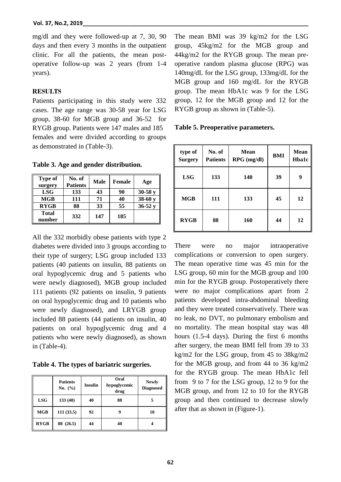mg/dl and they were followed-up at 7, 30, 90 days and then every 3 months in the outpatient clinic. For all the patients, the mean postoperative follow-up was 2 years (from 1-4 years).

## **RESULTS**

Patients participating in this study were 332 cases. The age range was 30-58 year for LSG group, 38-60 for MGB group and 36-52 for RYGB group. Patients were 147 males and 185 females and were divided according to groups as demonstrated in (Table-3).

**Table 3. Age and gender distribution.**

| <b>Type of</b><br>surgery | No. of<br><b>Patients</b> | Male | <b>Female</b> | Age        |
|---------------------------|---------------------------|------|---------------|------------|
| <b>LSG</b>                | 133                       | 43   | 90            | $30-58y$   |
| MGB                       | 111                       | 71   | 40            | $38-60y$   |
| <b>RYGB</b>               | 88                        | 33   | 55            | $36 - 52y$ |
| <b>Total</b><br>number    | 332                       | 147  | 185           |            |

All the 332 morbidly obese patients with type 2 diabetes were divided into 3 groups according to their type of surgery; LSG group included 133 patients (40 patients on insulin, 88 patients on oral hypoglycemic drug and 5 patients who were newly diagnosed), MGB group included 111 patients (92 patients on insulin, 9 patients on oral hypoglycemic drug and 10 patients who were newly diagnosed), and LRYGB group included 88 patients (44 patients on insulin, 40 patients on oral hypoglycemic drug and 4 patients who were newly diagnosed), as shown in (Table-4).

**Table 4. The types of bariatric surgeries.**

|             | <b>Patients</b><br>No. $(\% )$ | <b>Insulin</b> | Oral<br>hypoglycemic<br>drug | <b>Newly</b><br><b>Diagnosed</b> |
|-------------|--------------------------------|----------------|------------------------------|----------------------------------|
| <b>LSG</b>  | 133(40)                        | 40             | 88                           |                                  |
| <b>MGB</b>  | 111(33.5)                      | 92             | 9                            | 10                               |
| <b>RYGB</b> | 88 (26.5)                      | 44             | 40                           |                                  |

The mean BMI was 39 kg/m2 for the LSG group, 45kg/m2 for the MGB group and 44kg/m2 for the RYGB group. The mean preoperative random plasma glucose (RPG) was 140mg/dL for the LSG group, 133mg/dL for the MGB group and 160 mg/dL for the RYGB group. The mean HbA1c was 9 for the LSG group, 12 for the MGB group and 12 for the RYGB group as shown in (Table-5).

**Table 5. Preoperative parameters.**

| type of<br><b>Surgery</b> | No. of<br><b>Patients</b> | Mean<br>$RPG$ (mg/dl) | BMI | <b>Mean</b><br><b>Hba1c</b> |
|---------------------------|---------------------------|-----------------------|-----|-----------------------------|
| <b>LSG</b>                | 133                       | 140                   | 39  | 9                           |
| <b>MGB</b>                | 111                       | 133                   | 45  | 12                          |
| <b>RYGB</b>               | 88                        | 160                   | 44  | 12                          |

There were no major intraoperative complications or conversion to open surgery. The mean operative time was 45 min for the LSG group, 60 min for the MGB group and 100 min for the RYGB group. Postoperatively there were no major complications apart from 2 patients developed intra-abdominal bleeding and they were treated conservatively. There was no leak, no DVT, no pulmonary embolism and no mortality. The mean hospital stay was 48 hours (1.5-4 days). During the first 6 months after surgery, the mean BMI fell from 39 to 33 kg/m2 for the LSG group, from 45 to 38kg/m2 for the MGB group, and from 44 to 36 kg/m2 for the RYGB group. The mean HbA1c fell from 9 to 7 for the LSG group, 12 to 9 for the MGB group, and from 12 to 10 for the RYGB group and then continued to decrease slowly after that as shown in (Figure-1).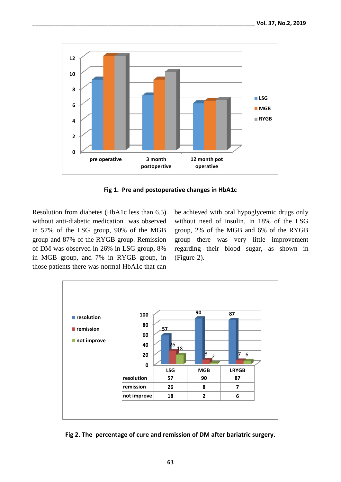

**Fig 1. Pre and postoperative changes in HbA1c**

Resolution from diabetes (HbA1c less than 6.5) without anti-diabetic medication was observed in 57% of the LSG group, 90% of the MGB group and 87% of the RYGB group. Remission of DM was observed in 26% in LSG group, 8% in MGB group, and 7% in RYGB group, in those patients there was normal HbA1c that can

be achieved with oral hypoglycemic drugs only without need of insulin. In 18% of the LSG group, 2% of the MGB and 6% of the RYGB group there was very little improvement regarding their blood sugar, as shown in (Figure-2).



**Fig 2. The percentage of cure and remission of DM after bariatric surgery.**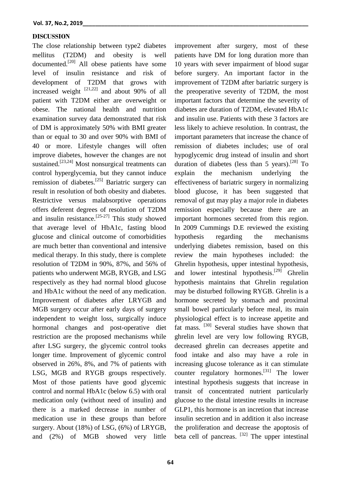#### **DISCUSSION**

The close relationship between type2 diabetes mellitus (T2DM) and obesity is well documented.[20] All obese patients have some level of insulin resistance and risk of development of T2DM that grows with increased weight  $[21,22]$  and about 90% of all patient with T2DM either are overweight or obese. The national health and nutrition examination survey data demonstrated that risk of DM is approximately 50% with BMI greater than or equal to 30 and over 90% with BMI of 40 or more. Lifestyle changes will often improve diabetes, however the changes are not sustained.<sup>[23,24]</sup> Most nonsurgical treatments can control hyperglycemia, but they cannot induce remission of diabetes.[25] Bariatric surgery can result in resolution of both obesity and diabetes. Restrictive versus malabsorptive operations offers deferent degrees of resolution of T2DM and insulin resistance.<sup>[25-27]</sup> This study showed that average level of HbA1c, fasting blood glucose and clinical outcome of comorbidities are much better than conventional and intensive medical therapy. In this study, there is complete resolution of T2DM in 90%, 87%, and 56% of patients who underwent MGB, RYGB, and LSG respectively as they had normal blood glucose and HbA1c without the need of any medication. Improvement of diabetes after LRYGB and MGB surgery occur after early days of surgery independent to weight loss, surgically induce hormonal changes and post-operative diet restriction are the proposed mechanisms while after LSG surgery, the glycemic control tooks longer time. Improvement of glycemic control observed in 26%, 8%, and 7% of patients with LSG, MGB and RYGB groups respectively. Most of those patients have good glycemic control and normal HbA1c (below 6.5) with oral medication only (without need of insulin) and there is a marked decrease in number of medication use in these groups than before surgery. About (18%) of LSG, (6%) of LRYGB, and (2%) of MGB showed very little

improvement after surgery, most of these patients have DM for long duration more than 10 years with sever impairment of blood sugar before surgery. An important factor in the improvement of T2DM after bariatric surgery is the preoperative severity of T2DM, the most important factors that determine the severity of diabetes are duration of T2DM, elevated HbA1c and insulin use. Patients with these 3 factors are less likely to achieve resolution. In contrast, the important parameters that increase the chance of remission of diabetes includes; use of oral hypoglycemic drug instead of insulin and short duration of diabetes (less than 5 years).<sup>[28]</sup> To explain the mechanism underlying the effectiveness of bariatric surgery in normalizing blood glucose, it has been suggested that removal of gut may play a major role in diabetes remission especially because there are an important hormones secreted from this region. In 2009 Cummings D.E reviewed the existing hypothesis regarding the mechanisms underlying diabetes remission, based on this review the main hypotheses included: the Ghrelin hypothesis, upper intestinal hypothesis, and lower intestinal hypothesis.<sup>[29]</sup> Ghrelin hypothesis maintains that Ghrelin regulation may be disturbed following RYGB. Ghrelin is a hormone secreted by stomach and proximal small bowel particularly before meal, its main physiological effect is to increase appetite and fat mass. <sup>[30]</sup> Several studies have shown that ghrelin level are very low following RYGB, decreased ghrelin can decreases appetite and food intake and also may have a role in increasing glucose tolerance as it can stimulate counter regulatory hormones.<sup>[31]</sup> The lower intestinal hypothesis suggests that increase in transit of concentrated nutrient particularly glucose to the distal intestine results in increase GLP1, this hormone is an incretion that increase insulin secretion and in addition it also increase the proliferation and decrease the apoptosis of beta cell of pancreas. <sup>[32]</sup> The upper intestinal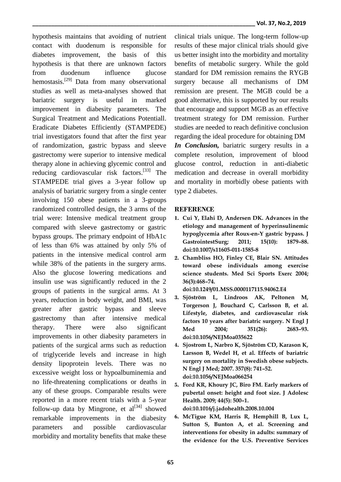hypothesis maintains that avoiding of nutrient contact with duodenum is responsible for diabetes improvement, the basis of this hypothesis is that there are unknown factors from duodenum influence glucose hemostasis.<sup>[29]</sup> Data from many observational studies as well as meta-analyses showed that bariatric surgery is useful in marked improvement in diabesity parameters. The Surgical Treatment and Medications Potentiall. Eradicate Diabetes Efficiently (STAMPEDE) trial investigators found that after the first year of randomization, gastric bypass and sleeve gastrectomy were superior to intensive medical therapy alone in achieving glycemic control and reducing cardiovascular risk factors.<sup>[33]</sup> The STAMPEDE trial gives a 3-year follow up analysis of bariatric surgery from a single center involving 150 obese patients in a 3-groups randomized controlled design, the 3 arms of the trial were: Intensive medical treatment group compared with sleeve gastrectomy or gastric bypass groups. The primary endpoint of HbA1c of less than 6% was attained by only 5% of patients in the intensive medical control arm while 38% of the patients in the surgery arms. Also the glucose lowering medications and insulin use was significantly reduced in the 2 groups of patients in the surgical arms. At 3 years, reduction in body weight, and BMI, was greater after gastric bypass and sleeve gastrectomy than after intensive medical therapy. There were also significant improvements in other diabesity parameters in patients of the surgical arms such as reduction of triglyceride levels and increase in high density lipoprotein levels. There was no excessive weight loss or hypoalbuminemia and no life-threatening complications or deaths in any of these groups. Comparable results were reported in a more recent trials with a 5-year follow-up data by Mingrone, et  $al^{[34]}$  showed remarkable improvements in the diabesity parameters and possible cardiovascular morbidity and mortality benefits that make these

clinical trials unique. The long-term follow-up results of these major clinical trials should give us better insight into the morbidity and mortality benefits of metabolic surgery. While the gold standard for DM remission remains the RYGB surgery because all mechanisms of DM remission are present. The MGB could be a good alternative, this is supported by our results that encourage and support MGB as an effective treatment strategy for DM remission. Further studies are needed to reach definitive conclusion regarding the ideal procedure for obtaining DM

*In Conclusion,* bariatric surgery results in a complete resolution, improvement of blood glucose control, reduction in anti-diabetic medication and decrease in overall morbidity and mortality in morbidly obese patients with type 2 diabetes.

# **REFERENCE**

- **1. Cui Y, Elahi D, Andersen DK. Advances in the etiology and management of hyperinsulinemic hypoglycemia after Roux-en-Y gastric bypass. J GastrointestSurg; 2011; 15(10): 1879–88. doi:10.1007/s11605-011-1585-8**
- **2. Chambliss HO, Finley CE, Blair SN. Attitudes toward obese individuals among exercise science students. Med Sci Sports Exerc 2004; 36(3):468–74.**

**doi:10.1249/01.MSS.0000117115.94062.E4**

- **3. Sjöström L, Lindroos AK, Peltonen M, Torgerson J, Bouchard C, Carlsson B, et al. Lifestyle, diabetes, and cardiovascular risk factors 10 years after bariatric surgery. N Engl J Med 2004; 351(26): 2683–93. doi:10.1056/NEJMoa035622**
- **4. Sjostrom L, Narbro K, Sjöström CD, Karason K, Larsson B, Wedel H, et al. Effects of bariatric surgery on mortality in Swedish obese subjects. N Engl J Med; 2007. 357(8): 741–52. doi:10.1056/NEJMoa066254**
- **5. Ford KR, Khoury JC, Biro FM. Early markers of pubertal onset: height and foot size. J Adolesc Health. 2009; 44(5): 500–1. doi:10.1016/j.jadohealth.2008.10.004**
- **6. McTigue KM, Harris R, Hemphill B, Lux L, Sutton S, Bunton A, et al. Screening and interventions for obesity in adults: summary of the evidence for the U.S. Preventive Services**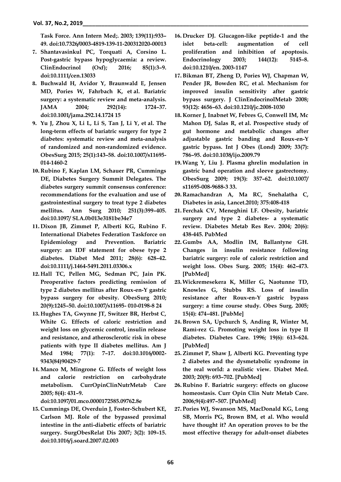**Task Force. Ann Intern Med;. 2003; 139(11):933– 49. doi:10.7326/0003-4819-139-11-200312020-00013**

- **7. Shantavasinkul PC, Torquati A, Corsino L. Post-gastric bypass hypoglycaemia: a review. ClinEndocrinol (Oxf); 2016; 85(1):3–9. doi:10.1111/cen.13033**
- **8. Buchwald H, Avidor Y, Braunwald E, Jensen MD, Pories W, Fahrbach K, et al. Bariatric surgery: a systematic review and meta-analysis. JAMA 2004; 292(14): 1724–37. doi:10.1001/jama.292.14.1724 15**
- **9. Yu J, Zhou X, Li L, Li S, Tan J, Li Y, et al. The long-term effects of bariatric surgery for type 2 diabetes: systematic review and meta-analysis of randomized and non-randomized evidence. ObesSurg 2015; 25(1):143–58. doi:10.1007/s11695- 014-1460-2**
- **10. Rubino F, Kaplan LM, Schauer PR, Cummings DE, Diabetes Surgery Summit Delegates. The diabetes surgery summit consensus conference: recommendations for the evaluation and use of gastrointestinal surgery to treat type 2 diabetes mellitus. Ann Surg 2010; 251(3):399–405. doi:10.1097/ SLA.0b013e3181be34e7**
- **11. Dixon JB, Zimmet P, Alberti KG, Rubino F. International Diabetes Federation Taskforce on Epidemiology and Prevention. Bariatric surgery: an IDF statement for obese type 2 diabetes. Diabet Med 2011; 28(6): 628–42. doi:10.1111/j.1464-5491.2011.03306.x**
- **12. Hall TC, Pellen MG, Sedman PC, Jain PK. Preoperative factors predicting remission of type 2 diabetes mellitus after Roux-en-Y gastric bypass surgery for obesity. ObesSurg 2010; 20(9):1245–50. doi:10.1007/s11695- 010-0198-8 24**
- **13. Hughes TA, Gwynne JT, Switzer BR, Herbst C, White G. Effects of caloric restriction and weight loss on glycemic control, insulin release and resistance, and atherosclerotic risk in obese patients with type II diabetes mellitus. Am J Med 1984; 77(1): 7–17. doi:10.1016/0002- 9343(84)90429-7**
- **14.Manco M, Mingrone G. Effects of weight loss and calorie restriction on carbohydrate metabolism. CurrOpinClinNutrMetab Care 2005; 8(4): 431–9.**

**doi:10.1097/01.mco.0000172585.09762.8e**

**15. Cummings DE, Overduin J, Foster-Schubert KE, Carlson MJ. Role of the bypassed proximal intestine in the anti-diabetic effects of bariatric surgery. SurgObesRelat Dis 2007; 3(2): 109–15. doi:10.1016/j.soard.2007.02.003**

- **16. Drucker DJ. Glucagon-like peptide-1 and the islet beta-cell: augmentation of cell proliferation and inhibition of apoptosis. Endocrinology 2003; 144(12): 5145–8. doi:10.1210/en. 2003-1147**
- **17.Bikman BT, Zheng D, Pories WJ, Chapman W, Pender JR, Bowden RC, et al. Mechanism for improved insulin sensitivity after gastric bypass surgery. J ClinEndocrinolMetab 2008; 93(12): 4656–63. doi:10.1210/jc.2008-1030**
- **18. Korner J, Inabnet W, Febres G, Conwell IM, Mc Mahon DJ, Salas R, et al. Prospective study of gut hormone and metabolic changes after adjustable gastric banding and Roux-en-Y gastric bypass. Int J Obes (Lond) 2009; 33(7): 786–95. doi:10.1038/ijo.2009.79**
- **19.Wang Y, Liu J. Plasma ghrelin modulation in gastric band operation and sleeve gastrectomy. ObesSurg 2009; 19(3): 357–62. doi:10.1007/ s11695-008-9688-3 33.**
- **20. Ramachandran A, Ma RC, Snehalatha C, Diabetes in asia, Lancet.2010; 375:408-418**
- **21. Ferchak CV, Meneghini LF. Obesity, bariatric surgery and type 2 diabetes- a systematic review. Diabetes Metab Res Rev. 2004; 20(6): 438-445. PubMed**
- **22. Gumbs AA, Modlin IM, Ballantyne GH. Changes in insulin resistance following bariatric surgery: role of caloric restriction and weight loss. Obes Surg. 2005; 15(4): 462–473. [PubMed]**
- **23.Wickremesekera K, Miller G, Naotunne TD, Knowles G, Stubbs RS. Loss of insulin resistance after Roux-en-Y gastric bypass surgery: a time course study. Obes Surg. 2005; 15(4): 474–481. [PubMe]**
- **24.Brown SA, Upchurch S, Anding R, Winter M, Ramì-rez G. Promoting weight loss in type II diabetes. Diabetes Care. 1996; 19(6): 613–624. [PubMed]**
- **25.Zimmet P, Shaw J, Alberti KG. Preventing type 2 diabetes and the dysmetabolic syndrome in the real world: a realistic view. Diabet Med. 2003; 20(9): 693–702. [PubMed]**
- **26. Rubino F. Bariatric surgery: effects on glucose homeostasis. Curr Opin Clin Nutr Metab Care. 2006;9(4):497–507. [PubMed]**
- **27. Pories WJ, Swanson MS, MacDonald KG, Long SB, Morris PG, Brown BM, et al. Who would have thought it? An operation proves to be the most effective therapy for adult-onset diabetes**